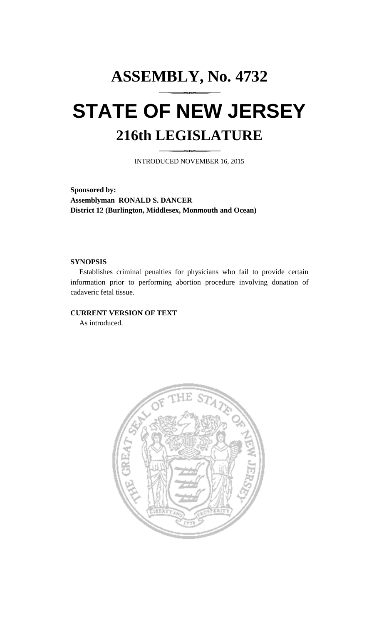# **ASSEMBLY, No. 4732 STATE OF NEW JERSEY 216th LEGISLATURE**

INTRODUCED NOVEMBER 16, 2015

**Sponsored by: Assemblyman RONALD S. DANCER District 12 (Burlington, Middlesex, Monmouth and Ocean)**

### **SYNOPSIS**

Establishes criminal penalties for physicians who fail to provide certain information prior to performing abortion procedure involving donation of cadaveric fetal tissue.

### **CURRENT VERSION OF TEXT**

As introduced.